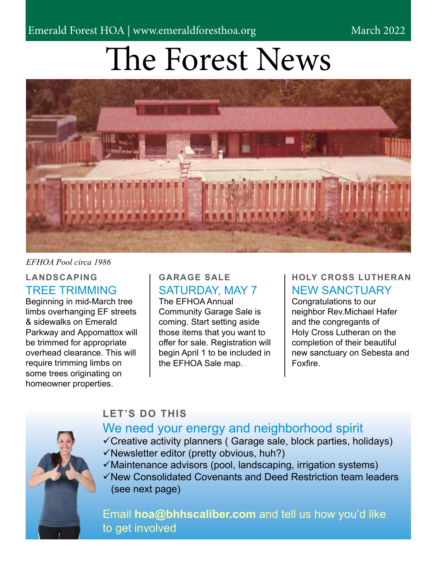March 2022

# The Forest News



#### *EFHOA Pool circa 1986*

#### **LANDSCAPING** TREE TRIMMING

Beginning in mid-March tree limbs overhanging EF streets & sidewalks on Emerald Parkway and Appomattox will be trimmed for appropriate overhead clearance. This will require trimming limbs on some trees originating on homeowner properties.

### **GARAGE SALE** SATURDAY, MAY 7

The EFHOA Annual Community Garage Sale is coming. Start setting aside those items that you want to offer for sale. Registration will begin April 1 to be included in the EFHOA Sale map.

#### **HOLY CROSS LUTHERAN** NEW SANCTUARY

Congratulations to our neighbor Rev.Michael Hafer and the congregants of Holy Cross Lutheran on the completion of their beautiful new sanctuary on Sebesta and Foxfire.

## **LET'S DO THIS**



## We need your energy and neighborhood spirit

- Creative activity planners ( Garage sale, block parties, holidays)
- $\checkmark$  Newsletter editor (pretty obvious, huh?)
- $\checkmark$  Maintenance advisors (pool, landscaping, irrigation systems)
- $\checkmark$ New Consolidated Covenants and Deed Restriction team leaders (see next page)

Email **hoa@bhhscaliber.com** and tell us how you'd like to get involved